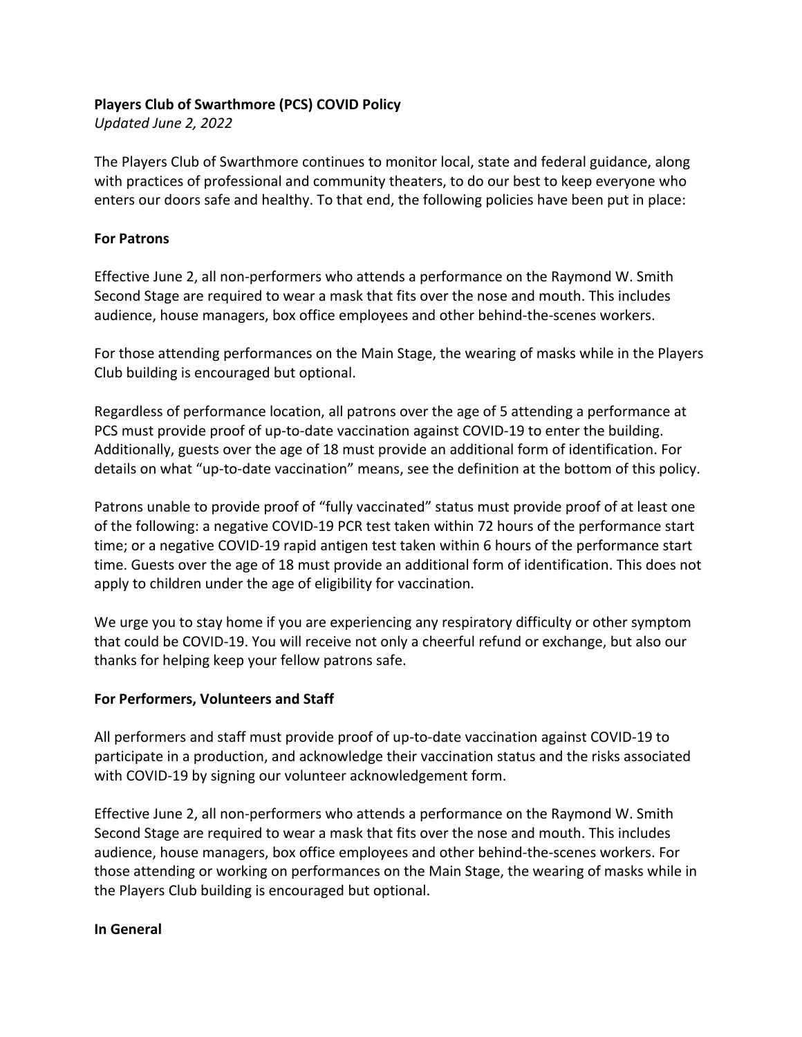#### **Players Club of Swarthmore (PCS) COVID Policy**

*Updated June 2, 2022*

The Players Club of Swarthmore continues to monitor local, state and federal guidance, along with practices of professional and community theaters, to do our best to keep everyone who enters our doors safe and healthy. To that end, the following policies have been put in place:

### **For Patrons**

Effective June 2, all non-performers who attends a performance on the Raymond W. Smith Second Stage are required to wear a mask that fits over the nose and mouth. This includes audience, house managers, box office employees and other behind-the-scenes workers.

For those attending performances on the Main Stage, the wearing of masks while in the Players Club building is encouraged but optional.

Regardless of performance location, all patrons over the age of 5 attending a performance at PCS must provide proof of up-to-date vaccination against COVID-19 to enter the building. Additionally, guests over the age of 18 must provide an additional form of identification. For details on what "up-to-date vaccination" means, see the definition at the bottom of this policy.

Patrons unable to provide proof of "fully vaccinated" status must provide proof of at least one of the following: a negative COVID-19 PCR test taken within 72 hours of the performance start time; or a negative COVID-19 rapid antigen test taken within 6 hours of the performance start time. Guests over the age of 18 must provide an additional form of identification. This does not apply to children under the age of eligibility for vaccination.

We urge you to stay home if you are experiencing any respiratory difficulty or other symptom that could be COVID-19. You will receive not only a cheerful refund or exchange, but also our thanks for helping keep your fellow patrons safe.

# **For Performers, Volunteers and Staff**

All performers and staff must provide proof of up-to-date vaccination against COVID-19 to participate in a production, and acknowledge their vaccination status and the risks associated with COVID-19 by signing our volunteer acknowledgement form.

Effective June 2, all non-performers who attends a performance on the Raymond W. Smith Second Stage are required to wear a mask that fits over the nose and mouth. This includes audience, house managers, box office employees and other behind-the-scenes workers. For those attending or working on performances on the Main Stage, the wearing of masks while in the Players Club building is encouraged but optional.

#### **In General**